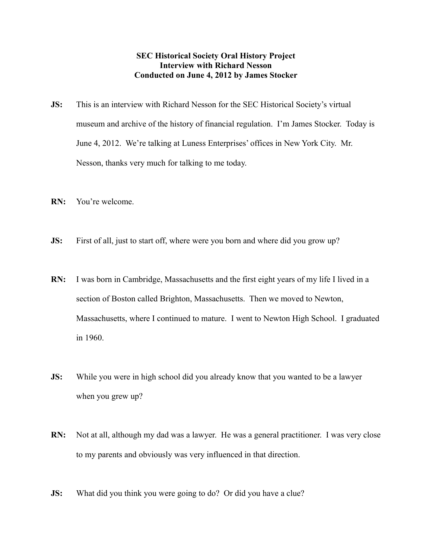## **SEC Historical Society Oral History Project Interview with Richard Nesson Conducted on June 4, 2012 by James Stocker**

- **JS:** This is an interview with Richard Nesson for the SEC Historical Society's virtual museum and archive of the history of financial regulation. I'm James Stocker. Today is June 4, 2012. We're talking at Luness Enterprises' offices in New York City. Mr. Nesson, thanks very much for talking to me today.
- **RN:** You're welcome.
- **JS:** First of all, just to start off, where were you born and where did you grow up?
- **RN:** I was born in Cambridge, Massachusetts and the first eight years of my life I lived in a section of Boston called Brighton, Massachusetts. Then we moved to Newton, Massachusetts, where I continued to mature. I went to Newton High School. I graduated in 1960.
- **JS:** While you were in high school did you already know that you wanted to be a lawyer when you grew up?
- **RN:** Not at all, although my dad was a lawyer. He was a general practitioner. I was very close to my parents and obviously was very influenced in that direction.
- **JS:** What did you think you were going to do? Or did you have a clue?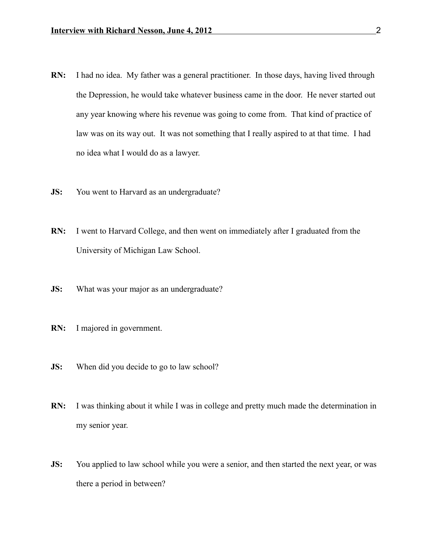- **RN:** I had no idea. My father was a general practitioner. In those days, having lived through the Depression, he would take whatever business came in the door. He never started out any year knowing where his revenue was going to come from. That kind of practice of law was on its way out. It was not something that I really aspired to at that time. I had no idea what I would do as a lawyer.
- **JS:** You went to Harvard as an undergraduate?
- **RN:** I went to Harvard College, and then went on immediately after I graduated from the University of Michigan Law School.
- **JS:** What was your major as an undergraduate?
- **RN:** I majored in government.
- **JS:** When did you decide to go to law school?
- **RN:** I was thinking about it while I was in college and pretty much made the determination in my senior year.
- **JS:** You applied to law school while you were a senior, and then started the next year, or was there a period in between?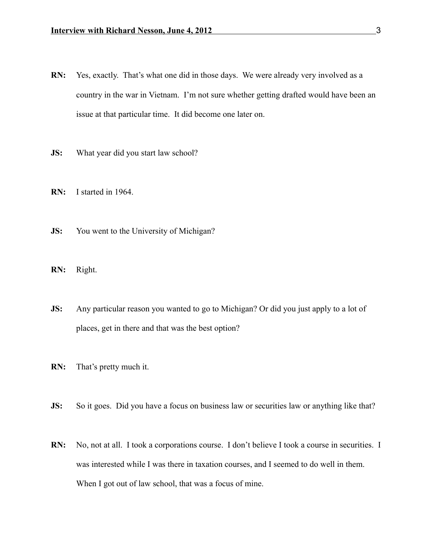- **RN:** Yes, exactly. That's what one did in those days. We were already very involved as a country in the war in Vietnam. I'm not sure whether getting drafted would have been an issue at that particular time. It did become one later on.
- **JS:** What year did you start law school?
- **RN:** I started in 1964.
- **JS:** You went to the University of Michigan?
- **RN:** Right.
- **JS:** Any particular reason you wanted to go to Michigan? Or did you just apply to a lot of places, get in there and that was the best option?
- **RN:** That's pretty much it.
- **JS:** So it goes. Did you have a focus on business law or securities law or anything like that?
- **RN:** No, not at all. I took a corporations course. I don't believe I took a course in securities. I was interested while I was there in taxation courses, and I seemed to do well in them. When I got out of law school, that was a focus of mine.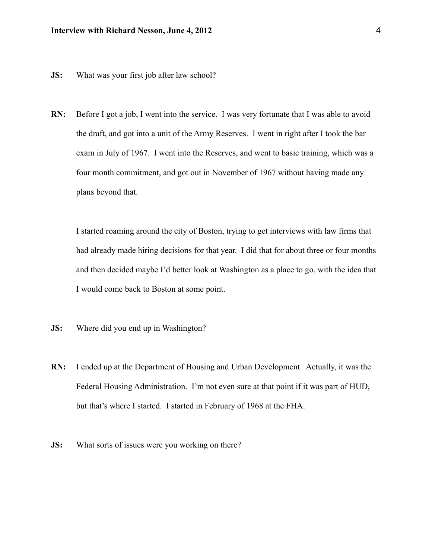- **JS:** What was your first job after law school?
- **RN:** Before I got a job, I went into the service. I was very fortunate that I was able to avoid the draft, and got into a unit of the Army Reserves. I went in right after I took the bar exam in July of 1967. I went into the Reserves, and went to basic training, which was a four month commitment, and got out in November of 1967 without having made any plans beyond that.

I started roaming around the city of Boston, trying to get interviews with law firms that had already made hiring decisions for that year. I did that for about three or four months and then decided maybe I'd better look at Washington as a place to go, with the idea that I would come back to Boston at some point.

- **JS:** Where did you end up in Washington?
- **RN:** I ended up at the Department of Housing and Urban Development. Actually, it was the Federal Housing Administration. I'm not even sure at that point if it was part of HUD, but that's where I started. I started in February of 1968 at the FHA.
- **JS:** What sorts of issues were you working on there?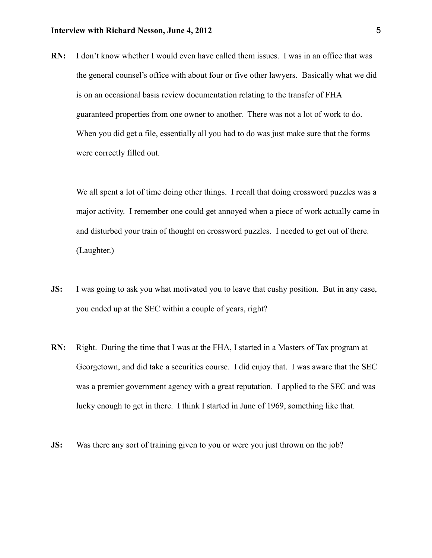**RN:** I don't know whether I would even have called them issues. I was in an office that was the general counsel's office with about four or five other lawyers. Basically what we did is on an occasional basis review documentation relating to the transfer of FHA guaranteed properties from one owner to another. There was not a lot of work to do. When you did get a file, essentially all you had to do was just make sure that the forms were correctly filled out.

We all spent a lot of time doing other things. I recall that doing crossword puzzles was a major activity. I remember one could get annoyed when a piece of work actually came in and disturbed your train of thought on crossword puzzles. I needed to get out of there. (Laughter.)

- **JS:** I was going to ask you what motivated you to leave that cushy position. But in any case, you ended up at the SEC within a couple of years, right?
- **RN:** Right. During the time that I was at the FHA, I started in a Masters of Tax program at Georgetown, and did take a securities course. I did enjoy that. I was aware that the SEC was a premier government agency with a great reputation. I applied to the SEC and was lucky enough to get in there. I think I started in June of 1969, something like that.
- **JS:** Was there any sort of training given to you or were you just thrown on the job?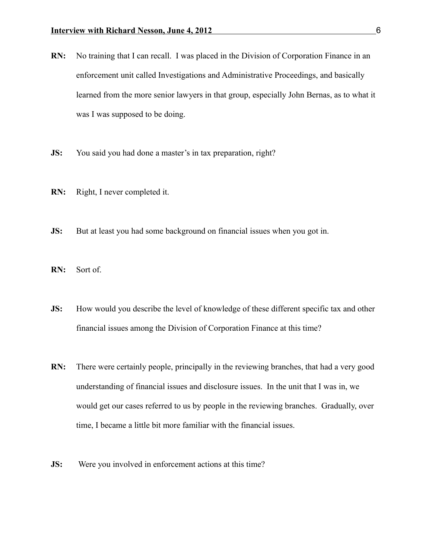- **RN:** No training that I can recall. I was placed in the Division of Corporation Finance in an enforcement unit called Investigations and Administrative Proceedings, and basically learned from the more senior lawyers in that group, especially John Bernas, as to what it was I was supposed to be doing.
- **JS:** You said you had done a master's in tax preparation, right?
- **RN:** Right, I never completed it.
- **JS:** But at least you had some background on financial issues when you got in.
- **RN:** Sort of.
- **JS:** How would you describe the level of knowledge of these different specific tax and other financial issues among the Division of Corporation Finance at this time?
- **RN:** There were certainly people, principally in the reviewing branches, that had a very good understanding of financial issues and disclosure issues. In the unit that I was in, we would get our cases referred to us by people in the reviewing branches. Gradually, over time, I became a little bit more familiar with the financial issues.
- **JS:** Were you involved in enforcement actions at this time?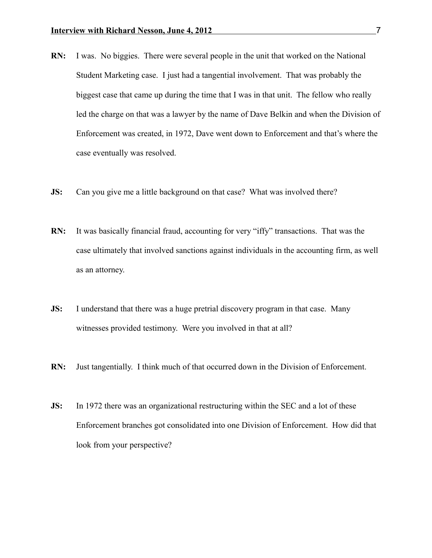- **RN:** I was. No biggies. There were several people in the unit that worked on the National Student Marketing case. I just had a tangential involvement. That was probably the biggest case that came up during the time that I was in that unit. The fellow who really led the charge on that was a lawyer by the name of Dave Belkin and when the Division of Enforcement was created, in 1972, Dave went down to Enforcement and that's where the case eventually was resolved.
- **JS:** Can you give me a little background on that case? What was involved there?
- **RN:** It was basically financial fraud, accounting for very "iffy" transactions. That was the case ultimately that involved sanctions against individuals in the accounting firm, as well as an attorney.
- **JS:** I understand that there was a huge pretrial discovery program in that case. Many witnesses provided testimony. Were you involved in that at all?
- **RN:** Just tangentially. I think much of that occurred down in the Division of Enforcement.
- **JS:** In 1972 there was an organizational restructuring within the SEC and a lot of these Enforcement branches got consolidated into one Division of Enforcement. How did that look from your perspective?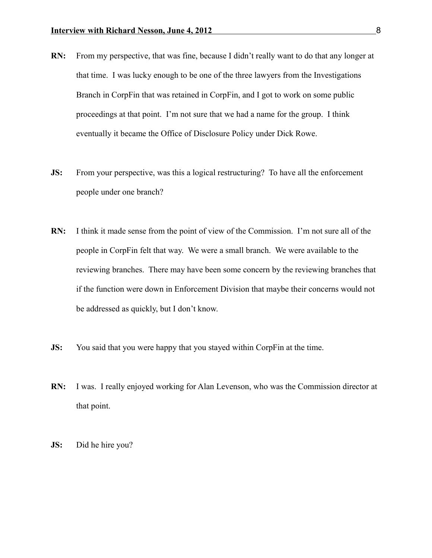- **RN:** From my perspective, that was fine, because I didn't really want to do that any longer at that time. I was lucky enough to be one of the three lawyers from the Investigations Branch in CorpFin that was retained in CorpFin, and I got to work on some public proceedings at that point. I'm not sure that we had a name for the group. I think eventually it became the Office of Disclosure Policy under Dick Rowe.
- **JS:** From your perspective, was this a logical restructuring? To have all the enforcement people under one branch?
- **RN:** I think it made sense from the point of view of the Commission. I'm not sure all of the people in CorpFin felt that way. We were a small branch. We were available to the reviewing branches. There may have been some concern by the reviewing branches that if the function were down in Enforcement Division that maybe their concerns would not be addressed as quickly, but I don't know.
- **JS:** You said that you were happy that you stayed within CorpFin at the time.
- **RN:** I was. I really enjoyed working for Alan Levenson, who was the Commission director at that point.
- **JS:** Did he hire you?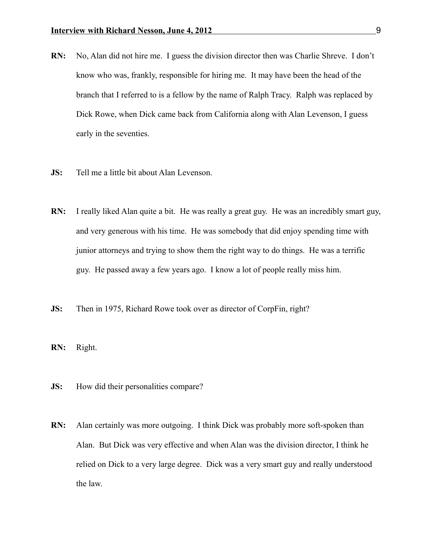- **RN:** No, Alan did not hire me. I guess the division director then was Charlie Shreve. I don't know who was, frankly, responsible for hiring me. It may have been the head of the branch that I referred to is a fellow by the name of Ralph Tracy. Ralph was replaced by Dick Rowe, when Dick came back from California along with Alan Levenson, I guess early in the seventies.
- **JS:** Tell me a little bit about Alan Levenson.
- **RN:** I really liked Alan quite a bit. He was really a great guy. He was an incredibly smart guy, and very generous with his time. He was somebody that did enjoy spending time with junior attorneys and trying to show them the right way to do things. He was a terrific guy. He passed away a few years ago. I know a lot of people really miss him.
- **JS:** Then in 1975, Richard Rowe took over as director of CorpFin, right?
- **RN:** Right.
- **JS:** How did their personalities compare?
- **RN:** Alan certainly was more outgoing. I think Dick was probably more soft-spoken than Alan. But Dick was very effective and when Alan was the division director, I think he relied on Dick to a very large degree. Dick was a very smart guy and really understood the law.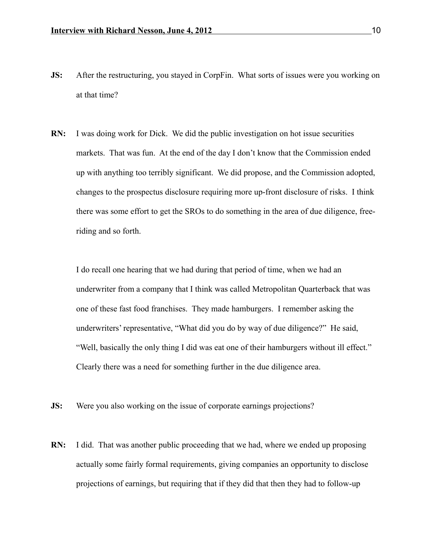- **JS:** After the restructuring, you stayed in CorpFin. What sorts of issues were you working on at that time?
- **RN:** I was doing work for Dick. We did the public investigation on hot issue securities markets. That was fun. At the end of the day I don't know that the Commission ended up with anything too terribly significant. We did propose, and the Commission adopted, changes to the prospectus disclosure requiring more up-front disclosure of risks. I think there was some effort to get the SROs to do something in the area of due diligence, freeriding and so forth.

I do recall one hearing that we had during that period of time, when we had an underwriter from a company that I think was called Metropolitan Quarterback that was one of these fast food franchises. They made hamburgers. I remember asking the underwriters' representative, "What did you do by way of due diligence?" He said, "Well, basically the only thing I did was eat one of their hamburgers without ill effect." Clearly there was a need for something further in the due diligence area.

- **JS:** Were you also working on the issue of corporate earnings projections?
- **RN:** I did. That was another public proceeding that we had, where we ended up proposing actually some fairly formal requirements, giving companies an opportunity to disclose projections of earnings, but requiring that if they did that then they had to follow-up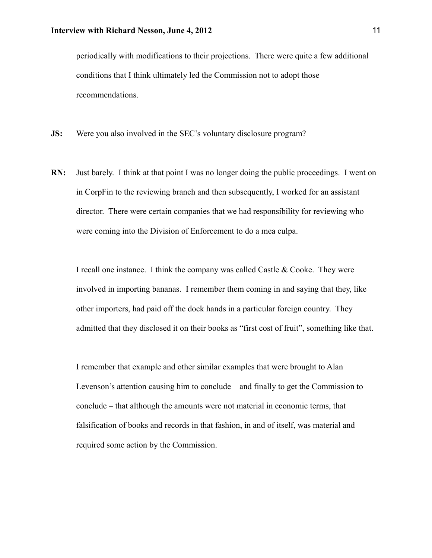periodically with modifications to their projections. There were quite a few additional conditions that I think ultimately led the Commission not to adopt those recommendations.

**JS:** Were you also involved in the SEC's voluntary disclosure program?

**RN:** Just barely. I think at that point I was no longer doing the public proceedings. I went on in CorpFin to the reviewing branch and then subsequently, I worked for an assistant director. There were certain companies that we had responsibility for reviewing who were coming into the Division of Enforcement to do a mea culpa.

I recall one instance. I think the company was called Castle & Cooke. They were involved in importing bananas. I remember them coming in and saying that they, like other importers, had paid off the dock hands in a particular foreign country. They admitted that they disclosed it on their books as "first cost of fruit", something like that.

I remember that example and other similar examples that were brought to Alan Levenson's attention causing him to conclude – and finally to get the Commission to conclude – that although the amounts were not material in economic terms, that falsification of books and records in that fashion, in and of itself, was material and required some action by the Commission.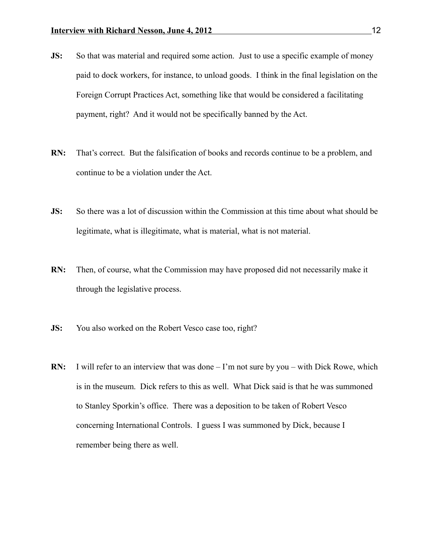- **JS:** So that was material and required some action. Just to use a specific example of money paid to dock workers, for instance, to unload goods. I think in the final legislation on the Foreign Corrupt Practices Act, something like that would be considered a facilitating payment, right? And it would not be specifically banned by the Act.
- **RN:** That's correct. But the falsification of books and records continue to be a problem, and continue to be a violation under the Act.
- **JS:** So there was a lot of discussion within the Commission at this time about what should be legitimate, what is illegitimate, what is material, what is not material.
- **RN:** Then, of course, what the Commission may have proposed did not necessarily make it through the legislative process.
- **JS:** You also worked on the Robert Vesco case too, right?
- **RN:** I will refer to an interview that was done I'm not sure by you with Dick Rowe, which is in the museum. Dick refers to this as well. What Dick said is that he was summoned to Stanley Sporkin's office. There was a deposition to be taken of Robert Vesco concerning International Controls. I guess I was summoned by Dick, because I remember being there as well.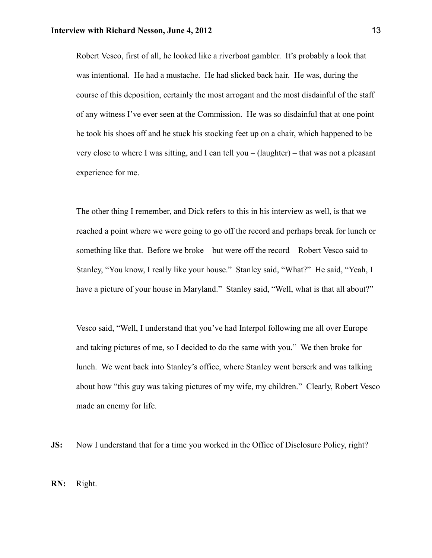Robert Vesco, first of all, he looked like a riverboat gambler. It's probably a look that was intentional. He had a mustache. He had slicked back hair. He was, during the course of this deposition, certainly the most arrogant and the most disdainful of the staff of any witness I've ever seen at the Commission. He was so disdainful that at one point he took his shoes off and he stuck his stocking feet up on a chair, which happened to be very close to where I was sitting, and I can tell you – (laughter) – that was not a pleasant experience for me.

The other thing I remember, and Dick refers to this in his interview as well, is that we reached a point where we were going to go off the record and perhaps break for lunch or something like that. Before we broke – but were off the record – Robert Vesco said to Stanley, "You know, I really like your house." Stanley said, "What?" He said, "Yeah, I have a picture of your house in Maryland." Stanley said, "Well, what is that all about?"

Vesco said, "Well, I understand that you've had Interpol following me all over Europe and taking pictures of me, so I decided to do the same with you." We then broke for lunch. We went back into Stanley's office, where Stanley went berserk and was talking about how "this guy was taking pictures of my wife, my children." Clearly, Robert Vesco made an enemy for life.

**JS:** Now I understand that for a time you worked in the Office of Disclosure Policy, right?

**RN:** Right.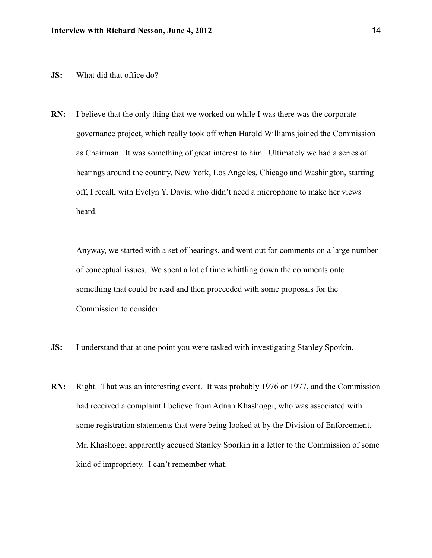- **JS:** What did that office do?
- **RN:** I believe that the only thing that we worked on while I was there was the corporate governance project, which really took off when Harold Williams joined the Commission as Chairman. It was something of great interest to him. Ultimately we had a series of hearings around the country, New York, Los Angeles, Chicago and Washington, starting off, I recall, with Evelyn Y. Davis, who didn't need a microphone to make her views heard.

Anyway, we started with a set of hearings, and went out for comments on a large number of conceptual issues. We spent a lot of time whittling down the comments onto something that could be read and then proceeded with some proposals for the Commission to consider.

- **JS:** I understand that at one point you were tasked with investigating Stanley Sporkin.
- **RN:** Right. That was an interesting event. It was probably 1976 or 1977, and the Commission had received a complaint I believe from Adnan Khashoggi, who was associated with some registration statements that were being looked at by the Division of Enforcement. Mr. Khashoggi apparently accused Stanley Sporkin in a letter to the Commission of some kind of impropriety. I can't remember what.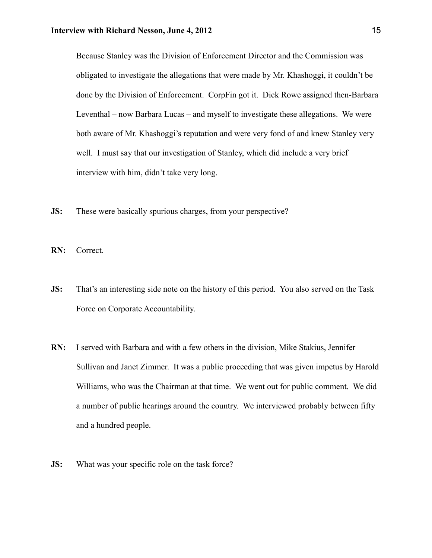Because Stanley was the Division of Enforcement Director and the Commission was obligated to investigate the allegations that were made by Mr. Khashoggi, it couldn't be done by the Division of Enforcement. CorpFin got it. Dick Rowe assigned then-Barbara Leventhal – now Barbara Lucas – and myself to investigate these allegations. We were both aware of Mr. Khashoggi's reputation and were very fond of and knew Stanley very well. I must say that our investigation of Stanley, which did include a very brief interview with him, didn't take very long.

**JS:** These were basically spurious charges, from your perspective?

**RN:** Correct.

- **JS:** That's an interesting side note on the history of this period. You also served on the Task Force on Corporate Accountability.
- **RN:** I served with Barbara and with a few others in the division, Mike Stakius, Jennifer Sullivan and Janet Zimmer. It was a public proceeding that was given impetus by Harold Williams, who was the Chairman at that time. We went out for public comment. We did a number of public hearings around the country. We interviewed probably between fifty and a hundred people.
- **JS:** What was your specific role on the task force?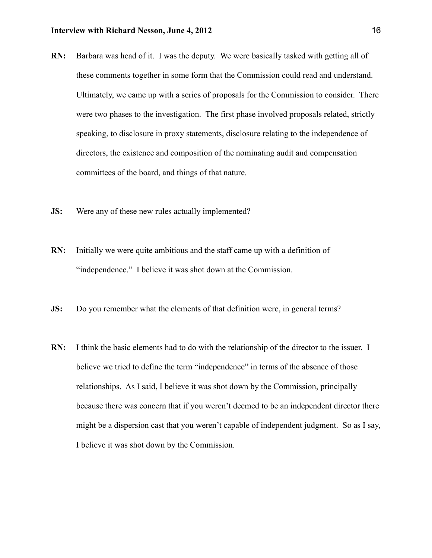- **RN:** Barbara was head of it. I was the deputy. We were basically tasked with getting all of these comments together in some form that the Commission could read and understand. Ultimately, we came up with a series of proposals for the Commission to consider. There were two phases to the investigation. The first phase involved proposals related, strictly speaking, to disclosure in proxy statements, disclosure relating to the independence of directors, the existence and composition of the nominating audit and compensation committees of the board, and things of that nature.
- **JS:** Were any of these new rules actually implemented?
- **RN:** Initially we were quite ambitious and the staff came up with a definition of "independence." I believe it was shot down at the Commission.
- **JS:** Do you remember what the elements of that definition were, in general terms?
- **RN:** I think the basic elements had to do with the relationship of the director to the issuer. I believe we tried to define the term "independence" in terms of the absence of those relationships. As I said, I believe it was shot down by the Commission, principally because there was concern that if you weren't deemed to be an independent director there might be a dispersion cast that you weren't capable of independent judgment. So as I say, I believe it was shot down by the Commission.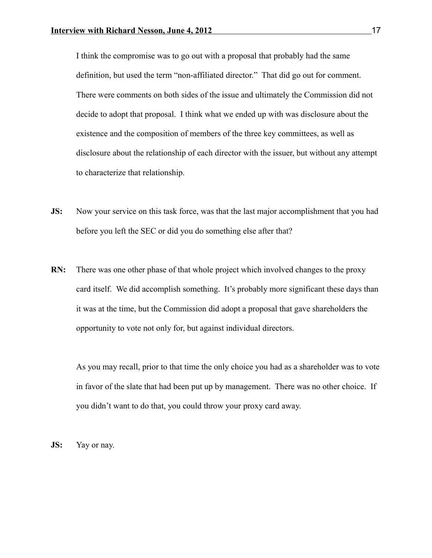I think the compromise was to go out with a proposal that probably had the same definition, but used the term "non-affiliated director." That did go out for comment. There were comments on both sides of the issue and ultimately the Commission did not decide to adopt that proposal. I think what we ended up with was disclosure about the existence and the composition of members of the three key committees, as well as disclosure about the relationship of each director with the issuer, but without any attempt to characterize that relationship.

- **JS:** Now your service on this task force, was that the last major accomplishment that you had before you left the SEC or did you do something else after that?
- **RN:** There was one other phase of that whole project which involved changes to the proxy card itself. We did accomplish something. It's probably more significant these days than it was at the time, but the Commission did adopt a proposal that gave shareholders the opportunity to vote not only for, but against individual directors.

As you may recall, prior to that time the only choice you had as a shareholder was to vote in favor of the slate that had been put up by management. There was no other choice. If you didn't want to do that, you could throw your proxy card away.

**JS:** Yay or nay.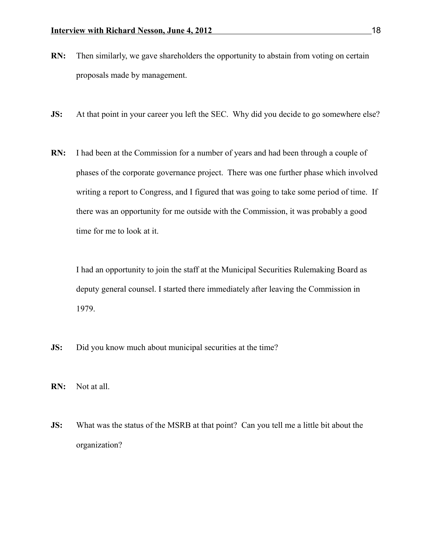- **RN:** Then similarly, we gave shareholders the opportunity to abstain from voting on certain proposals made by management.
- **JS:** At that point in your career you left the SEC. Why did you decide to go somewhere else?
- **RN:** I had been at the Commission for a number of years and had been through a couple of phases of the corporate governance project. There was one further phase which involved writing a report to Congress, and I figured that was going to take some period of time. If there was an opportunity for me outside with the Commission, it was probably a good time for me to look at it.

I had an opportunity to join the staff at the Municipal Securities Rulemaking Board as deputy general counsel. I started there immediately after leaving the Commission in 1979.

- **JS:** Did you know much about municipal securities at the time?
- **RN:** Not at all.
- **JS:** What was the status of the MSRB at that point? Can you tell me a little bit about the organization?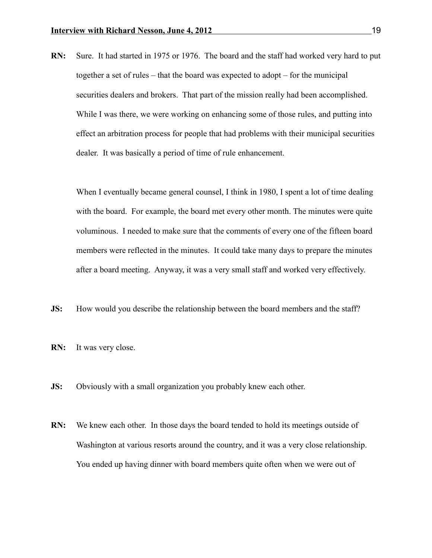**RN:** Sure. It had started in 1975 or 1976. The board and the staff had worked very hard to put together a set of rules – that the board was expected to adopt – for the municipal securities dealers and brokers. That part of the mission really had been accomplished. While I was there, we were working on enhancing some of those rules, and putting into effect an arbitration process for people that had problems with their municipal securities dealer. It was basically a period of time of rule enhancement.

When I eventually became general counsel, I think in 1980, I spent a lot of time dealing with the board. For example, the board met every other month. The minutes were quite voluminous. I needed to make sure that the comments of every one of the fifteen board members were reflected in the minutes. It could take many days to prepare the minutes after a board meeting. Anyway, it was a very small staff and worked very effectively.

- **JS:** How would you describe the relationship between the board members and the staff?
- **RN:** It was very close.
- **JS:** Obviously with a small organization you probably knew each other.
- **RN:** We knew each other. In those days the board tended to hold its meetings outside of Washington at various resorts around the country, and it was a very close relationship. You ended up having dinner with board members quite often when we were out of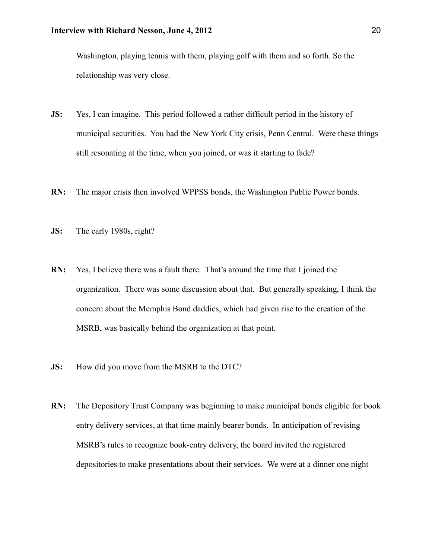Washington, playing tennis with them, playing golf with them and so forth. So the relationship was very close.

- **JS:** Yes, I can imagine. This period followed a rather difficult period in the history of municipal securities. You had the New York City crisis, Penn Central. Were these things still resonating at the time, when you joined, or was it starting to fade?
- **RN:** The major crisis then involved WPPSS bonds, the Washington Public Power bonds.
- **JS:** The early 1980s, right?
- **RN:** Yes, I believe there was a fault there. That's around the time that I joined the organization. There was some discussion about that. But generally speaking, I think the concern about the Memphis Bond daddies, which had given rise to the creation of the MSRB, was basically behind the organization at that point.
- **JS:** How did you move from the MSRB to the DTC?
- **RN:** The Depository Trust Company was beginning to make municipal bonds eligible for book entry delivery services, at that time mainly bearer bonds. In anticipation of revising MSRB's rules to recognize book-entry delivery, the board invited the registered depositories to make presentations about their services. We were at a dinner one night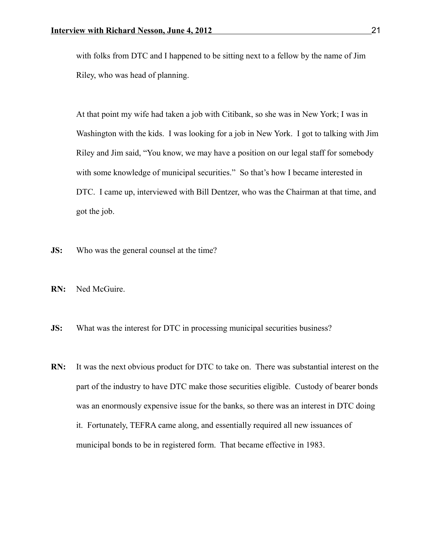with folks from DTC and I happened to be sitting next to a fellow by the name of Jim Riley, who was head of planning.

At that point my wife had taken a job with Citibank, so she was in New York; I was in Washington with the kids. I was looking for a job in New York. I got to talking with Jim Riley and Jim said, "You know, we may have a position on our legal staff for somebody with some knowledge of municipal securities." So that's how I became interested in DTC. I came up, interviewed with Bill Dentzer, who was the Chairman at that time, and got the job.

- **JS:** Who was the general counsel at the time?
- **RN:** Ned McGuire.
- **JS:** What was the interest for DTC in processing municipal securities business?
- **RN:** It was the next obvious product for DTC to take on. There was substantial interest on the part of the industry to have DTC make those securities eligible. Custody of bearer bonds was an enormously expensive issue for the banks, so there was an interest in DTC doing it. Fortunately, TEFRA came along, and essentially required all new issuances of municipal bonds to be in registered form. That became effective in 1983.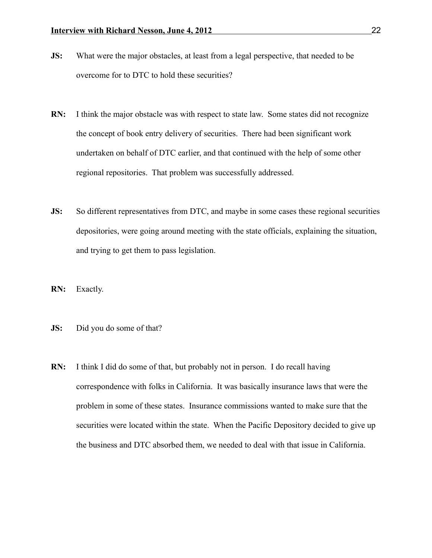- **JS:** What were the major obstacles, at least from a legal perspective, that needed to be overcome for to DTC to hold these securities?
- **RN:** I think the major obstacle was with respect to state law. Some states did not recognize the concept of book entry delivery of securities. There had been significant work undertaken on behalf of DTC earlier, and that continued with the help of some other regional repositories. That problem was successfully addressed.
- **JS:** So different representatives from DTC, and maybe in some cases these regional securities depositories, were going around meeting with the state officials, explaining the situation, and trying to get them to pass legislation.
- **RN:** Exactly.
- **JS:** Did you do some of that?
- **RN:** I think I did do some of that, but probably not in person. I do recall having correspondence with folks in California. It was basically insurance laws that were the problem in some of these states. Insurance commissions wanted to make sure that the securities were located within the state. When the Pacific Depository decided to give up the business and DTC absorbed them, we needed to deal with that issue in California.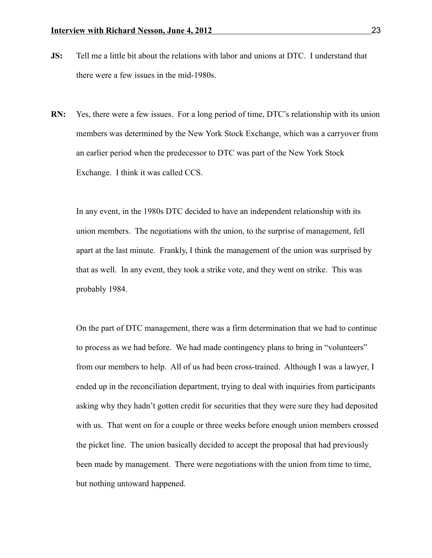- **JS:** Tell me a little bit about the relations with labor and unions at DTC. I understand that there were a few issues in the mid-1980s.
- **RN:** Yes, there were a few issues. For a long period of time, DTC's relationship with its union members was determined by the New York Stock Exchange, which was a carryover from an earlier period when the predecessor to DTC was part of the New York Stock Exchange. I think it was called CCS.

In any event, in the 1980s DTC decided to have an independent relationship with its union members. The negotiations with the union, to the surprise of management, fell apart at the last minute. Frankly, I think the management of the union was surprised by that as well. In any event, they took a strike vote, and they went on strike. This was probably 1984.

On the part of DTC management, there was a firm determination that we had to continue to process as we had before. We had made contingency plans to bring in "volunteers" from our members to help. All of us had been cross-trained. Although I was a lawyer, I ended up in the reconciliation department, trying to deal with inquiries from participants asking why they hadn't gotten credit for securities that they were sure they had deposited with us. That went on for a couple or three weeks before enough union members crossed the picket line. The union basically decided to accept the proposal that had previously been made by management. There were negotiations with the union from time to time, but nothing untoward happened.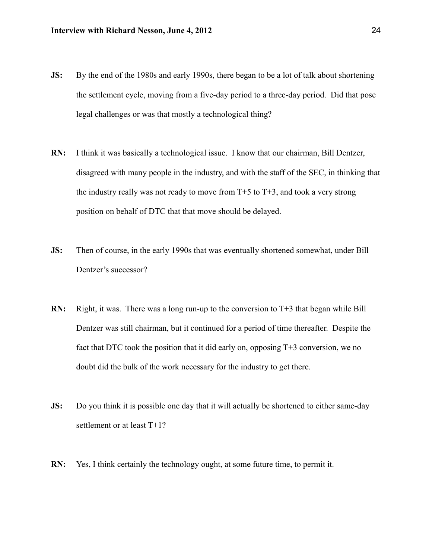- **JS:** By the end of the 1980s and early 1990s, there began to be a lot of talk about shortening the settlement cycle, moving from a five-day period to a three-day period. Did that pose legal challenges or was that mostly a technological thing?
- **RN:** I think it was basically a technological issue. I know that our chairman, Bill Dentzer, disagreed with many people in the industry, and with the staff of the SEC, in thinking that the industry really was not ready to move from  $T+5$  to  $T+3$ , and took a very strong position on behalf of DTC that that move should be delayed.
- **JS:** Then of course, in the early 1990s that was eventually shortened somewhat, under Bill Dentzer's successor?
- **RN:** Right, it was. There was a long run-up to the conversion to T+3 that began while Bill Dentzer was still chairman, but it continued for a period of time thereafter. Despite the fact that DTC took the position that it did early on, opposing T+3 conversion, we no doubt did the bulk of the work necessary for the industry to get there.
- **JS:** Do you think it is possible one day that it will actually be shortened to either same-day settlement or at least T+1?
- **RN:** Yes, I think certainly the technology ought, at some future time, to permit it.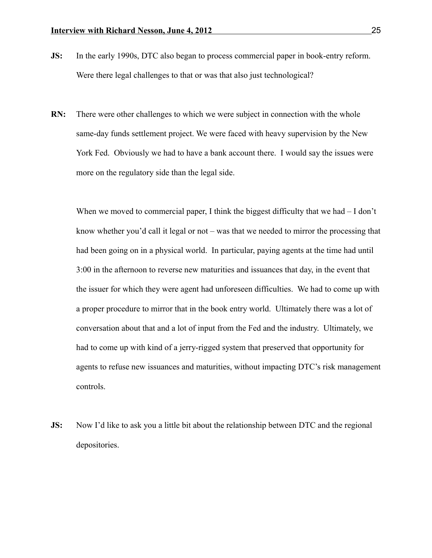- **JS:** In the early 1990s, DTC also began to process commercial paper in book-entry reform. Were there legal challenges to that or was that also just technological?
- **RN:** There were other challenges to which we were subject in connection with the whole same-day funds settlement project. We were faced with heavy supervision by the New York Fed. Obviously we had to have a bank account there. I would say the issues were more on the regulatory side than the legal side.

When we moved to commercial paper, I think the biggest difficulty that we had  $-I$  don't know whether you'd call it legal or not – was that we needed to mirror the processing that had been going on in a physical world. In particular, paying agents at the time had until 3:00 in the afternoon to reverse new maturities and issuances that day, in the event that the issuer for which they were agent had unforeseen difficulties. We had to come up with a proper procedure to mirror that in the book entry world. Ultimately there was a lot of conversation about that and a lot of input from the Fed and the industry. Ultimately, we had to come up with kind of a jerry-rigged system that preserved that opportunity for agents to refuse new issuances and maturities, without impacting DTC's risk management controls.

**JS:** Now I'd like to ask you a little bit about the relationship between DTC and the regional depositories.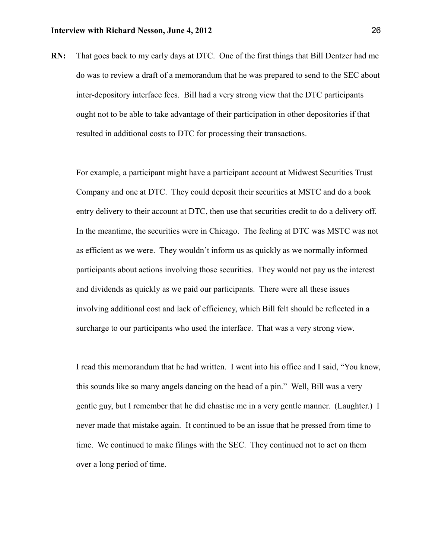**RN:** That goes back to my early days at DTC. One of the first things that Bill Dentzer had me do was to review a draft of a memorandum that he was prepared to send to the SEC about inter-depository interface fees. Bill had a very strong view that the DTC participants ought not to be able to take advantage of their participation in other depositories if that resulted in additional costs to DTC for processing their transactions.

For example, a participant might have a participant account at Midwest Securities Trust Company and one at DTC. They could deposit their securities at MSTC and do a book entry delivery to their account at DTC, then use that securities credit to do a delivery off. In the meantime, the securities were in Chicago. The feeling at DTC was MSTC was not as efficient as we were. They wouldn't inform us as quickly as we normally informed participants about actions involving those securities. They would not pay us the interest and dividends as quickly as we paid our participants. There were all these issues involving additional cost and lack of efficiency, which Bill felt should be reflected in a surcharge to our participants who used the interface. That was a very strong view.

I read this memorandum that he had written. I went into his office and I said, "You know, this sounds like so many angels dancing on the head of a pin." Well, Bill was a very gentle guy, but I remember that he did chastise me in a very gentle manner. (Laughter.) I never made that mistake again. It continued to be an issue that he pressed from time to time. We continued to make filings with the SEC. They continued not to act on them over a long period of time.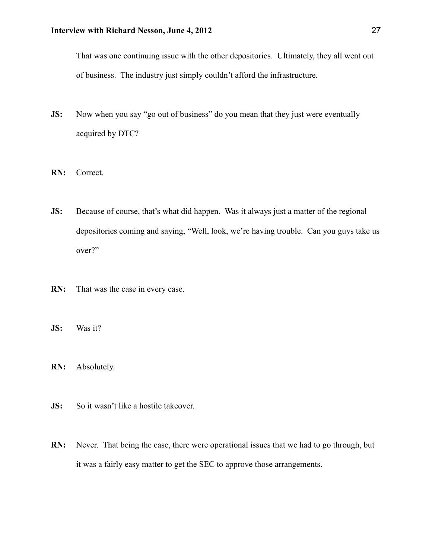That was one continuing issue with the other depositories. Ultimately, they all went out of business. The industry just simply couldn't afford the infrastructure.

- **JS:** Now when you say "go out of business" do you mean that they just were eventually acquired by DTC?
- **RN:** Correct.
- **JS:** Because of course, that's what did happen. Was it always just a matter of the regional depositories coming and saying, "Well, look, we're having trouble. Can you guys take us over?"
- **RN:** That was the case in every case.
- **JS:** Was it?
- **RN:** Absolutely.
- **JS:** So it wasn't like a hostile takeover.
- **RN:** Never. That being the case, there were operational issues that we had to go through, but it was a fairly easy matter to get the SEC to approve those arrangements.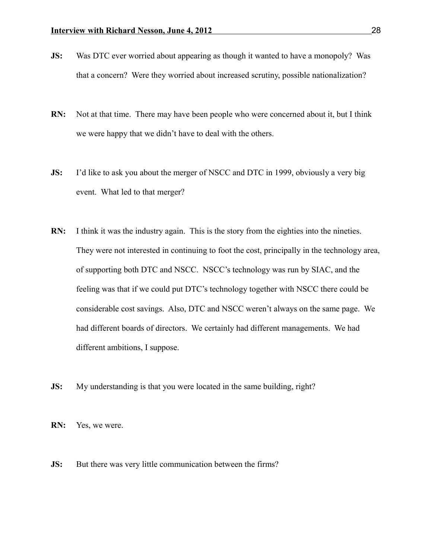- **JS:** Was DTC ever worried about appearing as though it wanted to have a monopoly? Was that a concern? Were they worried about increased scrutiny, possible nationalization?
- **RN:** Not at that time. There may have been people who were concerned about it, but I think we were happy that we didn't have to deal with the others.
- **JS:** I'd like to ask you about the merger of NSCC and DTC in 1999, obviously a very big event. What led to that merger?
- **RN:** I think it was the industry again. This is the story from the eighties into the nineties. They were not interested in continuing to foot the cost, principally in the technology area, of supporting both DTC and NSCC. NSCC's technology was run by SIAC, and the feeling was that if we could put DTC's technology together with NSCC there could be considerable cost savings. Also, DTC and NSCC weren't always on the same page. We had different boards of directors. We certainly had different managements. We had different ambitions, I suppose.
- **JS:** My understanding is that you were located in the same building, right?

**RN:** Yes, we were.

**JS:** But there was very little communication between the firms?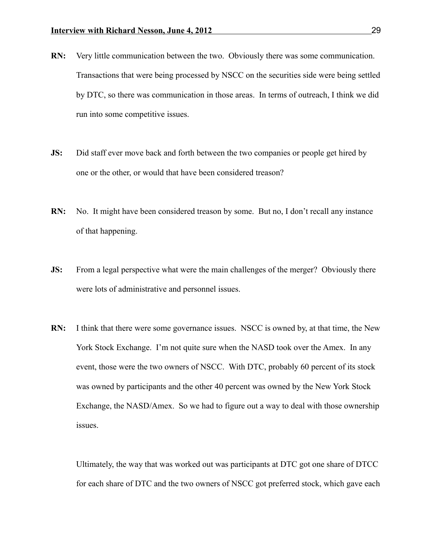- **RN:** Very little communication between the two. Obviously there was some communication. Transactions that were being processed by NSCC on the securities side were being settled by DTC, so there was communication in those areas. In terms of outreach, I think we did run into some competitive issues.
- **JS:** Did staff ever move back and forth between the two companies or people get hired by one or the other, or would that have been considered treason?
- **RN:** No. It might have been considered treason by some. But no, I don't recall any instance of that happening.
- **JS:** From a legal perspective what were the main challenges of the merger? Obviously there were lots of administrative and personnel issues.
- **RN:** I think that there were some governance issues. NSCC is owned by, at that time, the New York Stock Exchange. I'm not quite sure when the NASD took over the Amex. In any event, those were the two owners of NSCC. With DTC, probably 60 percent of its stock was owned by participants and the other 40 percent was owned by the New York Stock Exchange, the NASD/Amex. So we had to figure out a way to deal with those ownership issues.

Ultimately, the way that was worked out was participants at DTC got one share of DTCC for each share of DTC and the two owners of NSCC got preferred stock, which gave each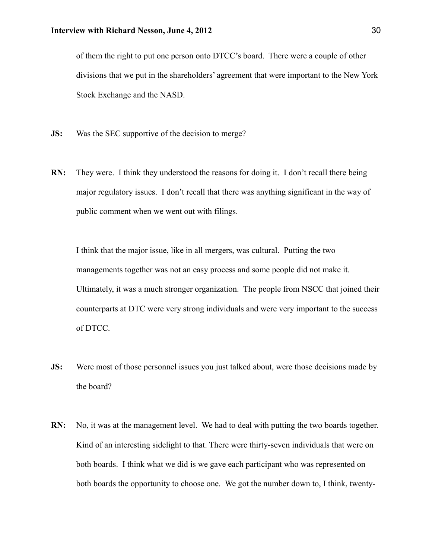of them the right to put one person onto DTCC's board. There were a couple of other divisions that we put in the shareholders' agreement that were important to the New York Stock Exchange and the NASD.

- **JS:** Was the SEC supportive of the decision to merge?
- **RN:** They were. I think they understood the reasons for doing it. I don't recall there being major regulatory issues. I don't recall that there was anything significant in the way of public comment when we went out with filings.

I think that the major issue, like in all mergers, was cultural. Putting the two managements together was not an easy process and some people did not make it. Ultimately, it was a much stronger organization. The people from NSCC that joined their counterparts at DTC were very strong individuals and were very important to the success of DTCC.

- **JS:** Were most of those personnel issues you just talked about, were those decisions made by the board?
- **RN:** No, it was at the management level. We had to deal with putting the two boards together. Kind of an interesting sidelight to that. There were thirty-seven individuals that were on both boards. I think what we did is we gave each participant who was represented on both boards the opportunity to choose one. We got the number down to, I think, twenty-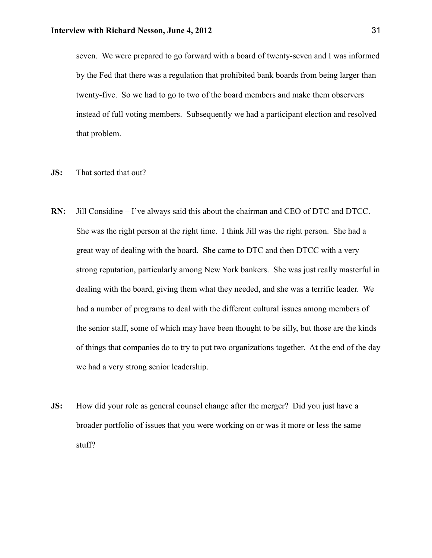seven. We were prepared to go forward with a board of twenty-seven and I was informed by the Fed that there was a regulation that prohibited bank boards from being larger than twenty-five. So we had to go to two of the board members and make them observers instead of full voting members. Subsequently we had a participant election and resolved that problem.

- **JS:** That sorted that out?
- **RN:** Jill Considine I've always said this about the chairman and CEO of DTC and DTCC. She was the right person at the right time. I think Jill was the right person. She had a great way of dealing with the board. She came to DTC and then DTCC with a very strong reputation, particularly among New York bankers. She was just really masterful in dealing with the board, giving them what they needed, and she was a terrific leader. We had a number of programs to deal with the different cultural issues among members of the senior staff, some of which may have been thought to be silly, but those are the kinds of things that companies do to try to put two organizations together. At the end of the day we had a very strong senior leadership.
- **JS:** How did your role as general counsel change after the merger? Did you just have a broader portfolio of issues that you were working on or was it more or less the same stuff?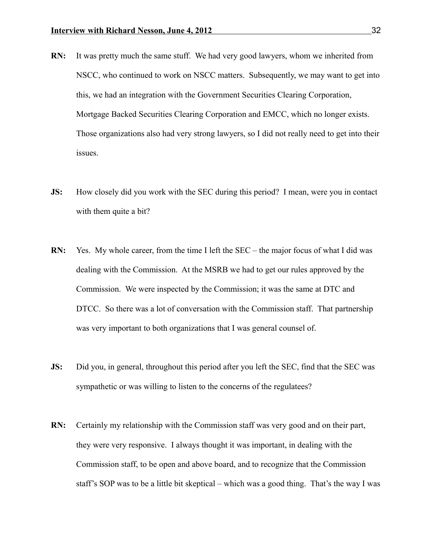- **RN:** It was pretty much the same stuff. We had very good lawyers, whom we inherited from NSCC, who continued to work on NSCC matters. Subsequently, we may want to get into this, we had an integration with the Government Securities Clearing Corporation, Mortgage Backed Securities Clearing Corporation and EMCC, which no longer exists. Those organizations also had very strong lawyers, so I did not really need to get into their issues.
- **JS:** How closely did you work with the SEC during this period? I mean, were you in contact with them quite a bit?
- **RN:** Yes. My whole career, from the time I left the SEC the major focus of what I did was dealing with the Commission. At the MSRB we had to get our rules approved by the Commission. We were inspected by the Commission; it was the same at DTC and DTCC. So there was a lot of conversation with the Commission staff. That partnership was very important to both organizations that I was general counsel of.
- **JS:** Did you, in general, throughout this period after you left the SEC, find that the SEC was sympathetic or was willing to listen to the concerns of the regulatees?
- **RN:** Certainly my relationship with the Commission staff was very good and on their part, they were very responsive. I always thought it was important, in dealing with the Commission staff, to be open and above board, and to recognize that the Commission staff's SOP was to be a little bit skeptical – which was a good thing. That's the way I was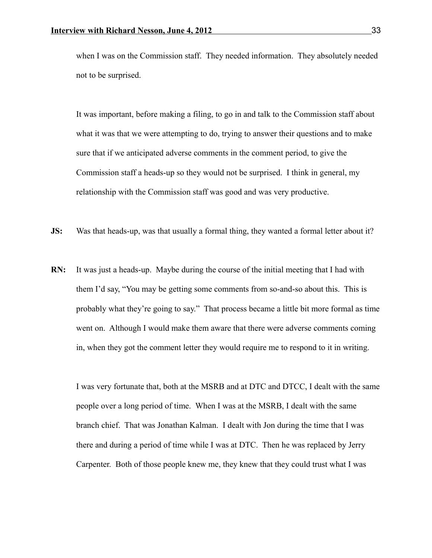when I was on the Commission staff. They needed information. They absolutely needed not to be surprised.

It was important, before making a filing, to go in and talk to the Commission staff about what it was that we were attempting to do, trying to answer their questions and to make sure that if we anticipated adverse comments in the comment period, to give the Commission staff a heads-up so they would not be surprised. I think in general, my relationship with the Commission staff was good and was very productive.

- **JS:** Was that heads-up, was that usually a formal thing, they wanted a formal letter about it?
- **RN:** It was just a heads-up. Maybe during the course of the initial meeting that I had with them I'd say, "You may be getting some comments from so-and-so about this. This is probably what they're going to say." That process became a little bit more formal as time went on. Although I would make them aware that there were adverse comments coming in, when they got the comment letter they would require me to respond to it in writing.

I was very fortunate that, both at the MSRB and at DTC and DTCC, I dealt with the same people over a long period of time. When I was at the MSRB, I dealt with the same branch chief. That was Jonathan Kalman. I dealt with Jon during the time that I was there and during a period of time while I was at DTC. Then he was replaced by Jerry Carpenter. Both of those people knew me, they knew that they could trust what I was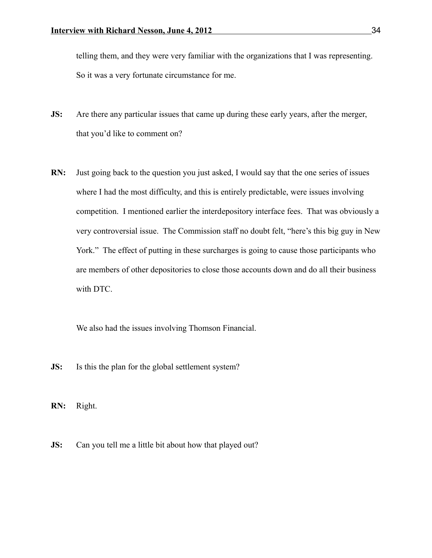telling them, and they were very familiar with the organizations that I was representing. So it was a very fortunate circumstance for me.

- **JS:** Are there any particular issues that came up during these early years, after the merger, that you'd like to comment on?
- **RN:** Just going back to the question you just asked, I would say that the one series of issues where I had the most difficulty, and this is entirely predictable, were issues involving competition. I mentioned earlier the interdepository interface fees. That was obviously a very controversial issue. The Commission staff no doubt felt, "here's this big guy in New York." The effect of putting in these surcharges is going to cause those participants who are members of other depositories to close those accounts down and do all their business with DTC.

We also had the issues involving Thomson Financial.

- **JS:** Is this the plan for the global settlement system?
- **RN:** Right.
- **JS:** Can you tell me a little bit about how that played out?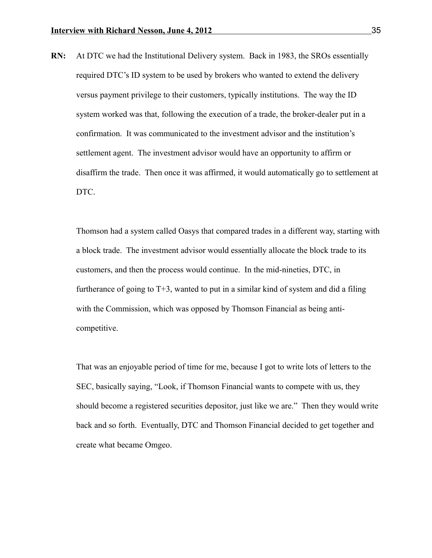**RN:** At DTC we had the Institutional Delivery system. Back in 1983, the SROs essentially required DTC's ID system to be used by brokers who wanted to extend the delivery versus payment privilege to their customers, typically institutions. The way the ID system worked was that, following the execution of a trade, the broker-dealer put in a confirmation. It was communicated to the investment advisor and the institution's settlement agent. The investment advisor would have an opportunity to affirm or disaffirm the trade. Then once it was affirmed, it would automatically go to settlement at DTC.

Thomson had a system called Oasys that compared trades in a different way, starting with a block trade. The investment advisor would essentially allocate the block trade to its customers, and then the process would continue. In the mid-nineties, DTC, in furtherance of going to  $T+3$ , wanted to put in a similar kind of system and did a filing with the Commission, which was opposed by Thomson Financial as being anticompetitive.

That was an enjoyable period of time for me, because I got to write lots of letters to the SEC, basically saying, "Look, if Thomson Financial wants to compete with us, they should become a registered securities depositor, just like we are." Then they would write back and so forth. Eventually, DTC and Thomson Financial decided to get together and create what became Omgeo.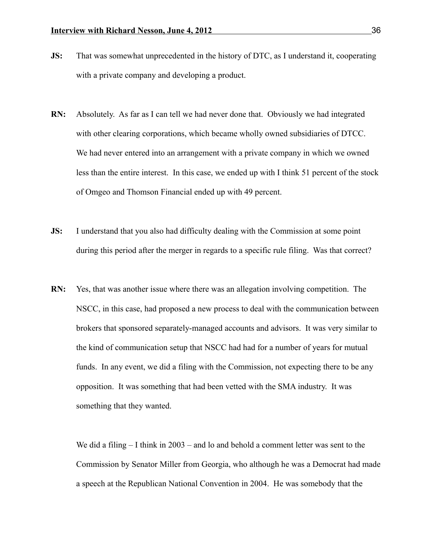- **JS:** That was somewhat unprecedented in the history of DTC, as I understand it, cooperating with a private company and developing a product.
- **RN:** Absolutely. As far as I can tell we had never done that. Obviously we had integrated with other clearing corporations, which became wholly owned subsidiaries of DTCC. We had never entered into an arrangement with a private company in which we owned less than the entire interest. In this case, we ended up with I think 51 percent of the stock of Omgeo and Thomson Financial ended up with 49 percent.
- **JS:** I understand that you also had difficulty dealing with the Commission at some point during this period after the merger in regards to a specific rule filing. Was that correct?
- **RN:** Yes, that was another issue where there was an allegation involving competition. The NSCC, in this case, had proposed a new process to deal with the communication between brokers that sponsored separately-managed accounts and advisors. It was very similar to the kind of communication setup that NSCC had had for a number of years for mutual funds. In any event, we did a filing with the Commission, not expecting there to be any opposition. It was something that had been vetted with the SMA industry. It was something that they wanted.

We did a filing – I think in 2003 – and lo and behold a comment letter was sent to the Commission by Senator Miller from Georgia, who although he was a Democrat had made a speech at the Republican National Convention in 2004. He was somebody that the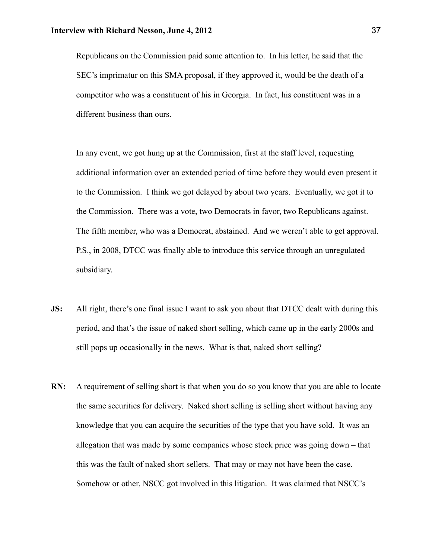Republicans on the Commission paid some attention to. In his letter, he said that the SEC's imprimatur on this SMA proposal, if they approved it, would be the death of a competitor who was a constituent of his in Georgia. In fact, his constituent was in a different business than ours.

In any event, we got hung up at the Commission, first at the staff level, requesting additional information over an extended period of time before they would even present it to the Commission. I think we got delayed by about two years. Eventually, we got it to the Commission. There was a vote, two Democrats in favor, two Republicans against. The fifth member, who was a Democrat, abstained. And we weren't able to get approval. P.S., in 2008, DTCC was finally able to introduce this service through an unregulated subsidiary.

- **JS:** All right, there's one final issue I want to ask you about that DTCC dealt with during this period, and that's the issue of naked short selling, which came up in the early 2000s and still pops up occasionally in the news. What is that, naked short selling?
- **RN:** A requirement of selling short is that when you do so you know that you are able to locate the same securities for delivery. Naked short selling is selling short without having any knowledge that you can acquire the securities of the type that you have sold. It was an allegation that was made by some companies whose stock price was going down – that this was the fault of naked short sellers. That may or may not have been the case. Somehow or other, NSCC got involved in this litigation. It was claimed that NSCC's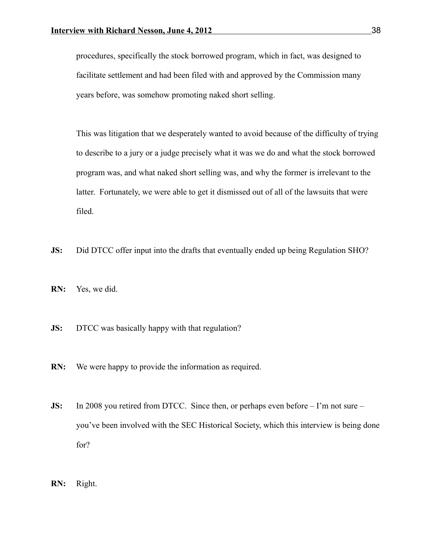procedures, specifically the stock borrowed program, which in fact, was designed to facilitate settlement and had been filed with and approved by the Commission many years before, was somehow promoting naked short selling.

This was litigation that we desperately wanted to avoid because of the difficulty of trying to describe to a jury or a judge precisely what it was we do and what the stock borrowed program was, and what naked short selling was, and why the former is irrelevant to the latter. Fortunately, we were able to get it dismissed out of all of the lawsuits that were filed.

- **JS:** Did DTCC offer input into the drafts that eventually ended up being Regulation SHO?
- **RN:** Yes, we did.
- **JS:** DTCC was basically happy with that regulation?
- **RN:** We were happy to provide the information as required.
- **JS:** In 2008 you retired from DTCC. Since then, or perhaps even before I'm not sure you've been involved with the SEC Historical Society, which this interview is being done for?
- **RN:** Right.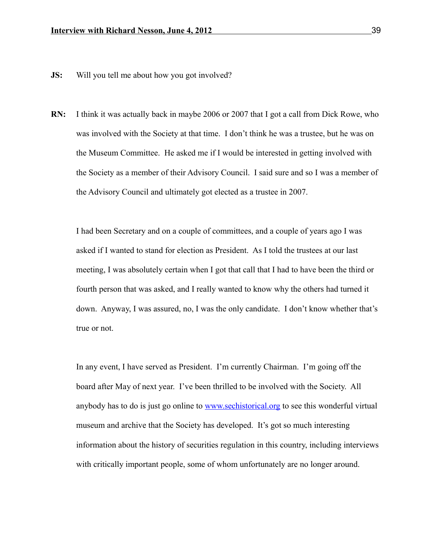- **JS:** Will you tell me about how you got involved?
- **RN:** I think it was actually back in maybe 2006 or 2007 that I got a call from Dick Rowe, who was involved with the Society at that time. I don't think he was a trustee, but he was on the Museum Committee. He asked me if I would be interested in getting involved with the Society as a member of their Advisory Council. I said sure and so I was a member of the Advisory Council and ultimately got elected as a trustee in 2007.

I had been Secretary and on a couple of committees, and a couple of years ago I was asked if I wanted to stand for election as President. As I told the trustees at our last meeting, I was absolutely certain when I got that call that I had to have been the third or fourth person that was asked, and I really wanted to know why the others had turned it down. Anyway, I was assured, no, I was the only candidate. I don't know whether that's true or not.

In any event, I have served as President. I'm currently Chairman. I'm going off the board after May of next year. I've been thrilled to be involved with the Society. All anybody has to do is just go online to [www.sechistorical.org](http://www.sechistorical.org/) to see this wonderful virtual museum and archive that the Society has developed. It's got so much interesting information about the history of securities regulation in this country, including interviews with critically important people, some of whom unfortunately are no longer around.